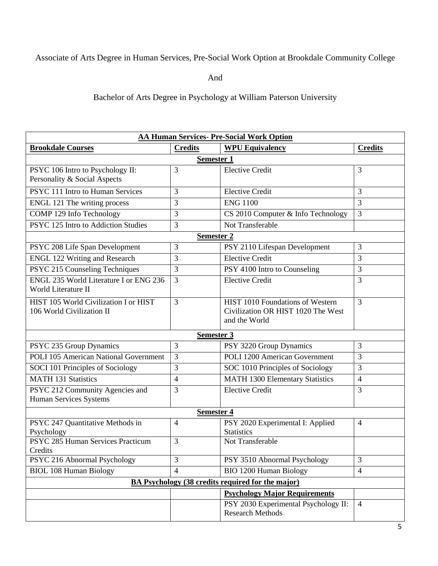## Associate of Arts Degree in Human Services, Pre-Social Work Option at Brookdale Community College

And

Bachelor of Arts Degree in Psychology at William Paterson University

| <b>AA Human Services- Pre-Social Work Option</b>         |                   |                                        |                |  |  |
|----------------------------------------------------------|-------------------|----------------------------------------|----------------|--|--|
| <b>Brookdale Courses</b>                                 | <b>Credits</b>    | <b>WPU Equivalency</b>                 | <b>Credits</b> |  |  |
| <b>Semester 1</b>                                        |                   |                                        |                |  |  |
| PSYC 106 Intro to Psychology II:                         | 3                 | <b>Elective Credit</b>                 | 3              |  |  |
| Personality & Social Aspects                             |                   |                                        |                |  |  |
| PSYC 111 Intro to Human Services                         | 3                 | <b>Elective Credit</b>                 | 3              |  |  |
| ENGL 121 The writing process                             | 3                 | <b>ENG 1100</b>                        | 3              |  |  |
| COMP 129 Info Technology                                 | 3                 | CS 2010 Computer & Info Technology     | $\overline{3}$ |  |  |
| PSYC 125 Intro to Addiction Studies                      | 3                 | Not Transferable                       |                |  |  |
|                                                          | <b>Semester 2</b> |                                        |                |  |  |
| PSYC 208 Life Span Development                           | 3                 | PSY 2110 Lifespan Development          | $\overline{3}$ |  |  |
| <b>ENGL 122 Writing and Research</b>                     | 3                 | <b>Elective Credit</b>                 | 3              |  |  |
| PSYC 215 Counseling Techniques                           | 3                 | PSY 4100 Intro to Counseling           | 3              |  |  |
| <b>ENGL 235 World Literature I or ENG 236</b>            | 3                 | <b>Elective Credit</b>                 | 3              |  |  |
| World Literature II                                      |                   |                                        |                |  |  |
| HIST 105 World Civilization I or HIST                    | 3                 | HIST 1010 Foundations of Western       | $\overline{3}$ |  |  |
| 106 World Civilization II                                |                   | Civilization OR HIST 1020 The West     |                |  |  |
|                                                          |                   | and the World                          |                |  |  |
| <b>Semester 3</b>                                        |                   |                                        |                |  |  |
| PSYC 235 Group Dynamics                                  | 3                 | PSY 3220 Group Dynamics                | $\overline{3}$ |  |  |
| <b>POLI 105 American National Government</b>             | 3                 | <b>POLI 1200 American Government</b>   | 3              |  |  |
| SOCI 101 Principles of Sociology                         | 3                 | SOC 1010 Principles of Sociology       | 3              |  |  |
| <b>MATH 131 Statistics</b>                               | $\overline{4}$    | <b>MATH 1300 Elementary Statistics</b> | $\overline{4}$ |  |  |
| PSYC 212 Community Agencies and                          | 3                 | <b>Elective Credit</b>                 | 3              |  |  |
| Human Services Systems                                   |                   |                                        |                |  |  |
| Semester 4                                               |                   |                                        |                |  |  |
| PSYC 247 Quantitative Methods in                         | $\overline{4}$    | PSY 2020 Experimental I: Applied       | $\overline{4}$ |  |  |
| Psychology                                               |                   | <b>Statistics</b>                      |                |  |  |
| PSYC 285 Human Services Practicum                        | 3                 | Not Transferable                       |                |  |  |
| Credits<br>PSYC 216 Abnormal Psychology                  | 3                 | PSY 3510 Abnormal Psychology           | 3              |  |  |
| <b>BIOL 108 Human Biology</b>                            | $\overline{4}$    | <b>BIO 1200 Human Biology</b>          | $\overline{4}$ |  |  |
| <b>BA Psychology (38 credits required for the major)</b> |                   |                                        |                |  |  |
| <b>Psychology Major Requirements</b>                     |                   |                                        |                |  |  |
|                                                          |                   | PSY 2030 Experimental Psychology II:   | $\overline{4}$ |  |  |
|                                                          |                   | <b>Research Methods</b>                |                |  |  |
|                                                          |                   |                                        |                |  |  |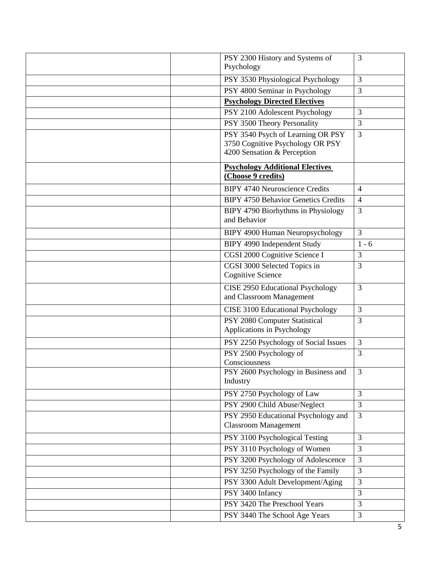| PSY 2300 History and Systems of                                       | 3              |
|-----------------------------------------------------------------------|----------------|
| Psychology                                                            |                |
| PSY 3530 Physiological Psychology                                     | $\mathfrak{Z}$ |
| PSY 4800 Seminar in Psychology                                        | $\overline{3}$ |
| <b>Psychology Directed Electives</b>                                  |                |
| PSY 2100 Adolescent Psychology                                        | 3              |
| PSY 3500 Theory Personality                                           | 3              |
| PSY 3540 Psych of Learning OR PSY<br>3750 Cognitive Psychology OR PSY | 3              |
| 4200 Sensation & Perception                                           |                |
| <b>Psychology Additional Electives</b><br>(Choose 9 credits)          |                |
| <b>BIPY 4740 Neuroscience Credits</b>                                 | $\overline{4}$ |
| <b>BIPY 4750 Behavior Genetics Credits</b>                            | $\overline{4}$ |
| BIPY 4790 Biorhythms in Physiology<br>and Behavior                    | 3              |
| BIPY 4900 Human Neuropsychology                                       | $\overline{3}$ |
| <b>BIPY 4990 Independent Study</b>                                    | $1 - 6$        |
| CGSI 2000 Cognitive Science I                                         | $\overline{3}$ |
| CGSI 3000 Selected Topics in<br><b>Cognitive Science</b>              | $\overline{3}$ |
| <b>CISE 2950 Educational Psychology</b>                               | $\overline{3}$ |
| and Classroom Management                                              |                |
| CISE 3100 Educational Psychology                                      | $\overline{3}$ |
| PSY 2080 Computer Statistical<br>Applications in Psychology           | 3              |
| PSY 2250 Psychology of Social Issues                                  | $\overline{3}$ |
| PSY 2500 Psychology of<br>Consciousness                               | $\overline{3}$ |
| PSY 2600 Psychology in Business and<br>Industry                       | 3              |
| PSY 2750 Psychology of Law                                            | $\overline{3}$ |
| PSY 2900 Child Abuse/Neglect                                          | $\overline{3}$ |
| PSY 2950 Educational Psychology and<br><b>Classroom Management</b>    | $\overline{3}$ |
| PSY 3100 Psychological Testing                                        | $\overline{3}$ |
| PSY 3110 Psychology of Women                                          | $\overline{3}$ |
| PSY 3200 Psychology of Adolescence                                    | $\overline{3}$ |
| PSY 3250 Psychology of the Family                                     | $\overline{3}$ |
| PSY 3300 Adult Development/Aging                                      | 3              |
| PSY 3400 Infancy                                                      | $\overline{3}$ |
| PSY 3420 The Preschool Years                                          | $\mathfrak{Z}$ |
| PSY 3440 The School Age Years                                         | $\overline{3}$ |